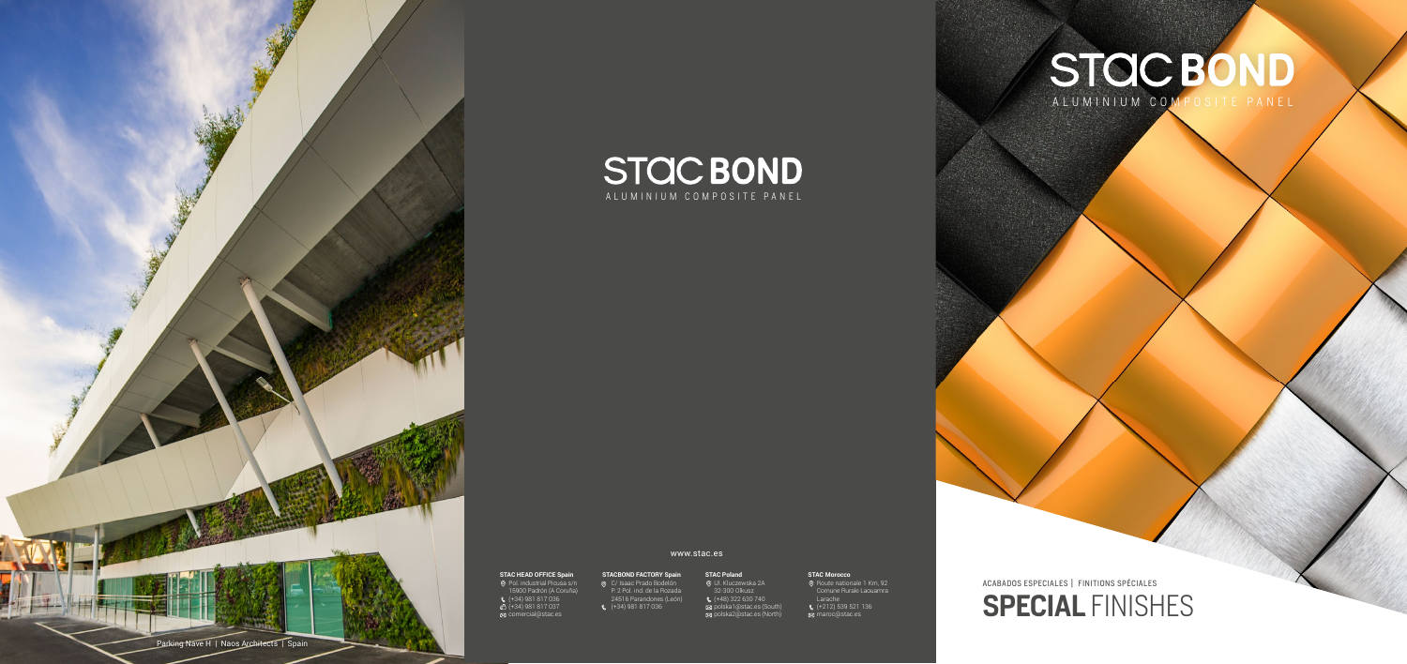**SPECIAL FINISHES** ACABADOS ESPECIALES | FINITIONS SPÉCIALES

lón © Ul. I León)  $\left( +48\right)$  322 630 740 polska I @stac polska2@stac.es (North) Ul. Kluczewska 2A 32-300 Olkusz polska1@stac.es (South) polska2@stac.es (North)

**©** Route nationale 1 Km, Comune Rurale Laouamr Larache Larache T (+212) 539 521 136 (+212) 539 521 136  $\frac{3}{2}$  marnometan es maroc@stac.es maroc@stac.es Route nationale 1 Km, 92 Comune Rurale Laouamra



## **AC HEAD OFFICE Spain STAC HEAD OFFICE Spain**

# <mark>Spain</mark> S **STACBOND FACTORY Spain**

### **STAC Maroc STAC Morocco**



zada olku C/ Isaac Prado Bodelón P. 2 Pol. ind. de la Rozada 24516 Parandones (León) (+34) 981 817 036



# ALUMINIUM COMPOSITE PANEL

Pol. industrial Picusa s/n 15900 Padrón (A Coruña) T (+34) 981 817 036 F (+34) 981 817 037 comercial@stac.es Pol. industrial Picusa s/n 15900 Padrón (A Coruña) (+34) 981 817 036 (+34) 981 817 037 comercial@stac.es

www.stac.es

# **STAC Poland**